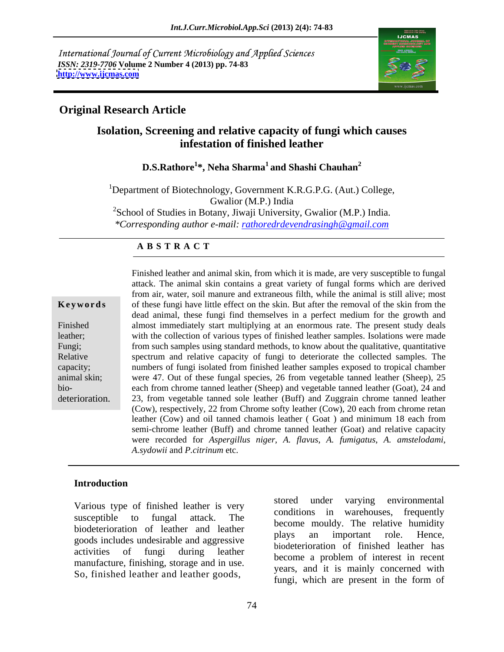International Journal of Current Microbiology and Applied Sciences *ISSN: 2319-7706* **Volume 2 Number 4 (2013) pp. 74-83 <http://www.ijcmas.com>**



### **Original Research Article**

## **Isolation, Screening and relative capacity of fungi which causes infestation of finished leather**

### **D.S.Rathore<sup>1</sup> \*, Neha Sharma<sup>1</sup> and Shashi Chauhan<sup>2</sup>**

<sup>1</sup>Department of Biotechnology, Government K.R.G.P.G. (Aut.) College, Gwalior (M.P.) India  $2^2$ School of Studies in Botany, Jiwaji University, Gwalior (M.P.) India. *\*Corresponding author e-mail: rathoredrdevendrasingh@gmail.com*

### **A B S T R A C T**

**Keywords** of these fungi have little effect on the skin. But after the removal of the skin from the Finished almost immediately start multiplying at an enormous rate. The present study deals leather; with the collection of various types of finished leather samples. Isolations were made Fungi; from such samples using standard methods, to know about the qualitative, quantitative Relative spectrum and relative capacity of fungi to deteriorate the collected samples. The capacity; numbers of fungi isolated from finished leather samples exposed to tropical chamber animal skin; were 47. Out of these fungal species, 26 from vegetable tanned leather (Sheep), 25 bio- each from chrome tanned leather (Sheep) and vegetable tanned leather (Goat), 24 and Finished leather and animal skin, from which it is made, are very susceptible to fungal<br>attack. The animal skin contains a great variety of fungal forms which are derived<br>from air, water, soil manue and extraneous filth, w attack. The animal skin contains a great variety of fungal forms which are derived from air, water, soil manure and extraneous filth, while the animal is still alive; most dead animal, these fungi find themselves in a perfect medium for the growth and 23, from vegetable tanned sole leather (Buff) and Zuggrain chrome tanned leather (Cow), respectively, 22 from Chrome softy leather (Cow), 20 each from chrome retan leather (Cow) and oil tanned chamois leather ( Goat ) and minimum 18 each from semi-chrome leather (Buff) and chrome tanned leather (Goat) and relative capacity were recorded for *Aspergillus niger*, *A. flavus*, *A. fumigatus*, *A. amstelodami*, *A.sydowii* and *P.citrinum* etc.

### **Introduction**

biodeterioration of leather and leather biodeterioration of leather plays an important role. Hence, goods includes undesirable and aggressive<br>biodeterioration of finished leather has manufacture, finishing, storage and in use.

Various type of finished leather is very stored under varying environmental susceptible to fungal attack. The conditions in warchouses, hequency activities of fungi during leather booksterioration of interest in recent Various type of finished leather is very<br>
susceptible to fungal attack. The<br>
biodeterioration of leather and leather<br>
goods includes undesirable and aggressive<br>
activities of fungi during leather<br>
manufacture, finishing, s conditions in warehouses, frequently become mouldy. The relative humidity plays an important role. Hence, biodeterioration of finished leather has become a problem of interest in recent years, and it is mainly concerned with fungi, which are present in the form of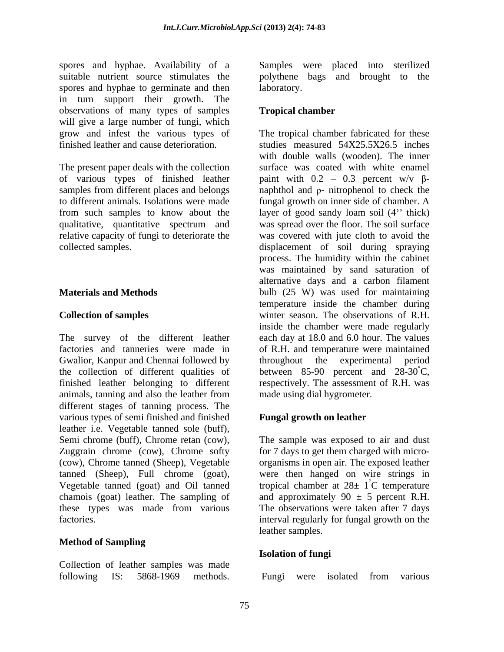spores and hyphae. Availability of a Samples were placed into sterilized suitable nutrient source stimulates the polythene bags and brought to the spores and hyphae to germinate and then laboratory. in turn support their growth. The observations of many types of samples will give a large number of fungi, which

The present paper deals with the collection qualitative, quantitative spectrum and

The survey of the different leather each day at 18.0 and 6.0 hour. The values factories and tanneries were made in of R.H. and temperature were maintained Gwalior, Kanpur and Chennai followed by throughout the experimental period the collection of different qualities of between 85-90 percent and  $28-30^{\circ}$ C, finished leather belonging to different respectively. The assessment of R.H. was animals, tanning and also the leather from different stages of tanning process. The various types of semi finished and finished leather i.e. Vegetable tanned sole (buff), Semi chrome (buff), Chrome retan (cow), The sample was exposed to air and dust Zuggrain chrome (cow), Chrome softy (cow), Chrome tanned (Sheep), Vegetable tanned (Sheep), Full chrome (goat), Vegetable tanned (goat) and Oil tanned tropical chamber at  $28 \pm 1^{\circ}$ C temperature chamois (goat) leather. The sampling of and approximately  $90 \pm 5$  percent R.H. these types was made from various The observations were taken after 7 days factories. interval regularly for fungal growth on the

### **Method of Sampling**

Collection of leather samples was made following IS: 5868-1969 methods.

laboratory.

### **Tropical chamber**

grow and infest the various types of The tropical chamber fabricated for these finished leather and cause deterioration. studies measured 54X25.5X26.5 inches of various types of finished leather paint with  $0.2 - 0.3$  percent w/v  $\beta$ samples from different places and belongs  $\qquad$  naphthol and  $\rho$ - nitrophenol to check the to different animals. Isolations were made fungal growth on inner side of chamber. A from such samples to know about the layer of good sandy loam soil (4" thick) relative capacity of fungi to deteriorate the was covered with jute cloth to avoid the collected samples. displacement of soil during spraying **Materials and Methods** bulb (25 W) was used for maintaining **Collection of samples** winter season. The observations of R.H. with double walls (wooden). The inner surface was coated with white enamel was spread over the floor. The soil surface process. The humidity within the cabinet was maintained by sand saturation of alternative days and a carbon filament temperature inside the chamber during inside the chamber were made regularly throughout the experimental period made using dial hygrometer.

### **Fungal growth on leather**

for 7 days to get them charged with micro organisms in open air. The exposed leather were then hanged on wire strings in °C temperature The observations were taken after 7 days leather samples.

### **Isolation of fungi**

Fungi were isolated from various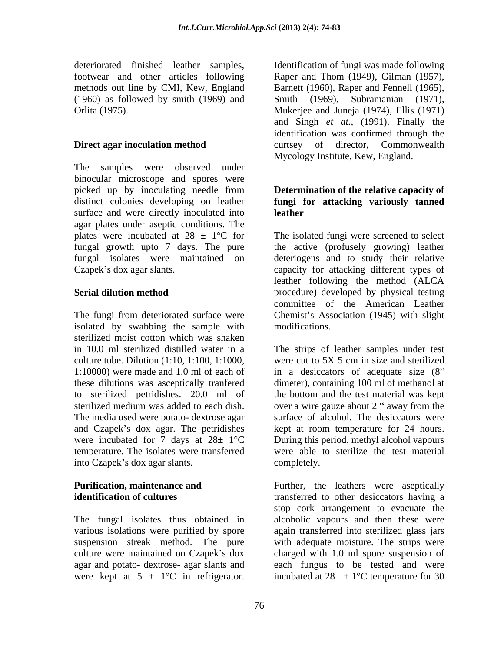The samples were observed under binocular microscope and spores were picked up by inoculating needle from **Determination of the relative capacity of**  distinct colonies developing on leather **fungi for attacking variously tanned** surface and were directly inoculated into **leather** agar plates under aseptic conditions. The fungal growth upto 7 days. The pure

The fungi from deteriorated surface were isolated by swabbing the sample with modifications. sterilized moist cotton which was shaken culture tube. Dilution  $(1:10, 1:100, 1:1000)$  were cut to 5X 5 cm in size and sterilized sterilized medium was added to each dish. over a wire gauze about 2 " away from the The media used were potato- dextrose agar and Czapek's dox agar. The petridishes temperature. The isolates were transferred into Czapek's dox agar slants. completely.

The fungal isolates thus obtained in were kept at  $5 \pm 1$ °C in refrigerator. incubated at  $28 \pm 1$ °C temperature for 30

deteriorated finished leather samples, Identification of fungi was made following footwear and other articles following Raper and Thom (1949), Gilman (1957), methods out line by CMI, Kew, England Barnett (1960), Raper and Fennell (1965), (1960) as followed by smith (1969) and Smith (1969), Subramanian (1971), Orlita (1975). Mukerjee and Juneja (1974), Ellis (1971) **Direct agar inoculation method** curtsey of director, Commonwealth and Singh *et at.,* (1991). Finally the identification was confirmed through the curtsey of director, Commonwealth Mycology Institute, Kew, England.

# **leather**

plates were incubated at  $28 \pm 1$ °C for The isolated fungi were screened to select fungal isolates were maintained on deteriogens and to study their relative Czapek's dox agar slants. capacity for attacking different types of **Serial dilution method procedure** procedure and **procedure procedure** by physical testing the active (profusely growing) leather leather following the method (ALCA committee of the American Leather Chemist's Association (1945) with slight modifications.

in 10.0 ml sterilized distilled water in a The strips of leather samples under test 1:10000) were made and 1.0 mlof each of in a desiccators of adequate size (8 these dilutions was asceptically tranfered dimeter), containing 100 ml of methanol at to sterilized petridishes. 20.0 ml of the bottom and the test material was kept were incubated for 7 days at  $28 \pm 1^{\circ}$ C During this period, methyl alcohol vapours were cut to 5X 5 cm in size and sterilized over a wire gauze about 2 " away from the surface of alcohol. The desiccators were kept at room temperature for 24 hours. were able to sterilize the test material completely.

**Purification, maintenance and** Further, the leathers were aseptically **identification of cultures** transferred to other desiccators having a various isolations were purified by spore again transferred into sterilized glass jars suspension streak method. The pure with adequate moisture. The strips were culture were maintained on Czapek's dox charged with 1.0 ml spore suspension of agar and potato- dextrose- agar slants and each fungus to be tested and were stop cork arrangement to evacuate the alcoholic vapours and then these were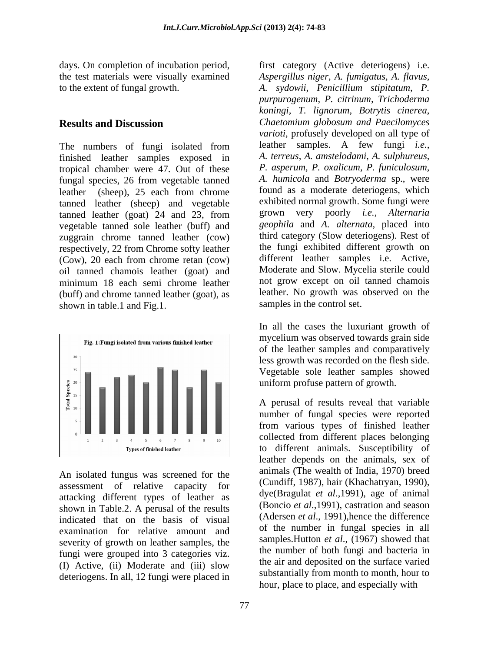days. On completion of incubation period, first category (Active deteriogens) i.e.

The numbers of fungi isolated from finished leather samples exposed in tropical chamber were 47. Out of these fungal species, 26 from vegetable tanned leather (sheep), 25 each from chrome tanned leather (sheep) and vegetable tanned leather (goat) 24 and 23, from vegetable tanned sole leather (buff) and zuggrain chrome tanned leather (cow) respectively, 22 from Chrome softy leather (Cow), 20 each from chrome retan (cow) oil tanned chamois leather (goat) and minimum 18 each semi chrome leather and grow except on oil tanned chamois (buff) and chrome tanned leather (goat), as shown in table.1 and Fig.1.



An isolated fungus was screened for the assessment of relative capacity for attacking different types of leather as shown in Table.2. A perusal of the results indicated that on the basis of visual examination for relative amount and severity of growth on leather samples, the fungi were grouped into 3 categories viz. (I) Active, (ii) Moderate and (iii) slow deteriogens. In all, 12 fungi were placed in

the test materials were visually examined *Aspergillus niger*, *A. fumigatus, A. flavus,* to the extent of fungal growth. *A. sydowii*, *Penicillium stipitatum, P.* **Results and Discussion** *Chaetomium globosum and Paecilomyces purpurogenum*, *P. citrinum, Trichoderma koningi, T. lignorum, Botrytis cinerea*, *varioti,* profusely developed on all type of leather samples. A few fungi *i.e., A. terreus*, *A. amstelodami, A. sulphureus*, *P. asperum, P. oxalicum, P. funiculosum*, *A. humicola* and *Botryoderma* sp., were found as a moderate deteriogens, which exhibited normal growth. Some fungi were grown very poorly *i.e., Alternaria geophila* and *A. alternata,* placed into third category (Slow deteriogens). Rest of the fungi exhibited different growth on different leather samples i.e. Active, Moderate and Slow. Mycelia sterile could not grow except on oil tanned chamois leather. No growth was observed on the samples in the control set.

> In all the cases the luxuriant growth of mycelium was observed towards grain side of the leather samples and comparatively less growth was recorded on the flesh side. Vegetable sole leather samples showed uniform profuse pattern of growth.

> A perusal of results reveal that variable number of fungal species were reported from various types of finished leather collected from different places belonging to different animals. Susceptibility of leather depends on the animals, sex of animals (The wealth of India, 1970) breed (Cundiff, 1987), hair (Khachatryan, 1990), dye(Bragulat *et al*.,1991), age of animal (Boncio *et al*.,1991), castration and season (Adersen *et al*., 1991),hence the difference of the number in fungal species in all samples.Hutton *et al*., (1967) showed that the number of both fungi and bacteria in the air and deposited on the surface varied substantially from month to month, hour to hour, place to place, and especially with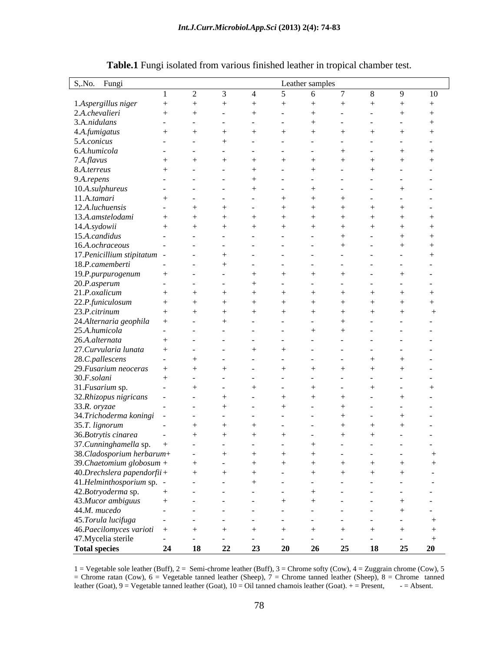| S, No. Fungi                                         |    |           |               |    |          | Leather samples |               |    |                |              |        |
|------------------------------------------------------|----|-----------|---------------|----|----------|-----------------|---------------|----|----------------|--------------|--------|
|                                                      |    | $\gamma$  | $\mathcal{R}$ |    | $\sim$ 5 | - 6             | $\mathcal{L}$ |    | 8 <sup>8</sup> | $\mathbf{Q}$ | 10     |
|                                                      |    |           |               |    |          |                 |               |    |                |              |        |
| 1.Aspergillus niger                                  |    |           |               |    |          |                 |               |    |                |              |        |
| 2.A.chevalieri                                       |    |           |               |    |          |                 |               |    |                |              |        |
| 3.A.nidulans                                         |    |           |               |    |          |                 |               |    |                |              |        |
| 4.A.fumigatus                                        |    |           |               |    |          |                 |               |    |                |              |        |
| 5.A.conicus<br>$\sim$ $-$                            |    |           |               |    |          |                 |               |    |                |              |        |
| 6.A.humicola<br>$\sim$                               |    |           |               |    |          |                 |               |    |                |              |        |
| 7.A.flavus                                           |    |           |               |    |          |                 |               |    |                |              |        |
| 8.A.terreus                                          |    |           |               |    |          |                 |               |    |                |              |        |
| 9.A.repens                                           |    |           |               |    |          |                 |               |    |                |              |        |
| 10.A.sulphureus                                      |    |           |               |    |          |                 |               |    |                |              |        |
|                                                      |    |           |               |    |          |                 |               |    |                |              |        |
| 11.A.tamari                                          |    |           |               |    |          |                 |               |    |                |              |        |
| 12.A.luchuensis                                      |    |           |               |    |          |                 |               |    |                |              |        |
| 13.A.amstelodami                                     |    |           |               |    |          |                 |               |    |                |              |        |
| 14.A.sydowii                                         |    |           |               |    |          |                 |               |    |                |              |        |
| 15.A.candidus                                        |    |           |               |    |          |                 |               |    |                |              |        |
| 16.A.ochraceous<br>$\sim$                            |    |           |               |    |          |                 |               |    |                |              |        |
| 17. Penicillium stipitatum -                         |    |           |               |    |          |                 |               |    |                |              |        |
| 18.P.camemberti<br>$\sim$                            |    |           |               |    |          |                 |               |    |                |              |        |
| 19.P.purpurogenum<br>$+$                             |    |           |               |    |          |                 |               |    |                |              |        |
|                                                      |    |           |               |    |          |                 |               |    |                |              |        |
| 20.P.asperum                                         |    |           |               |    |          |                 |               |    |                |              |        |
| 21.P.oxalicum                                        |    |           |               |    |          |                 |               |    |                |              |        |
| 22.P.funiculosum                                     |    |           |               |    |          |                 |               |    |                |              |        |
| 23.P.citrinum                                        |    |           |               |    |          |                 |               |    |                |              |        |
| 24.Alternaria geophila                               |    |           |               |    |          |                 |               |    |                |              |        |
| 25.A.humicola<br>$\sim$                              |    |           |               |    |          |                 |               |    |                |              |        |
| 26.A.alternata                                       |    |           |               |    |          |                 |               |    |                |              |        |
| 27.Curvularia lunata                                 |    |           |               |    |          |                 |               |    |                |              |        |
| 28.C.pallescens<br>$\sim$                            |    |           |               |    |          |                 |               |    |                |              |        |
| 29. Fusarium neoceras                                |    |           |               |    |          |                 |               |    |                |              |        |
| 30.F. solani                                         |    |           |               |    |          |                 |               |    |                |              |        |
|                                                      |    |           |               |    |          |                 |               |    |                |              |        |
| 31. Fusarium sp.                                     |    |           |               |    |          |                 |               |    |                |              |        |
| 32.Rhizopus nigricans<br>$\sim$                      |    |           |               |    |          |                 |               |    |                |              |        |
| 33.R. oryzae                                         |    |           |               |    |          |                 |               |    |                |              |        |
| 34.Trichoderma koningi                               |    |           |               |    |          |                 |               |    |                |              |        |
| 35.T. lignorum                                       |    |           |               |    |          |                 |               |    |                |              |        |
| 36. Botrytis cinarea<br>$\sim$                       |    |           |               |    |          |                 |               |    |                |              | $\sim$ |
| 37.Cunninghamella sp. +<br>38.Cladosporium herbarum+ |    |           |               |    |          |                 |               |    |                |              |        |
|                                                      |    |           |               |    |          |                 | $\sim$        |    |                |              |        |
| 39. Chaetomium globosum +                            |    |           |               |    |          |                 |               |    |                |              |        |
| $40. Drechslera paperdorfii +$                       |    |           |               |    |          |                 |               |    |                |              |        |
| 41.Helminthosporium sp. -                            |    | $\sim$    |               |    |          |                 |               |    |                |              |        |
|                                                      |    |           |               |    |          |                 |               |    |                |              |        |
| 42.Botryoderma sp.                                   |    | $\sim$    |               |    |          |                 |               |    |                |              |        |
| 43.Mucor ambiguus<br>$+$                             |    |           |               |    |          |                 |               |    |                |              |        |
| 44.M. mucedo<br>$\sim$                               |    |           |               |    |          |                 |               |    |                |              |        |
| 45.Torula lucifuga                                   |    |           |               |    |          |                 |               |    |                |              |        |
| 46. Paecilomyces varioti +                           |    |           |               |    |          |                 |               |    |                |              |        |
| 47. Mycelia sterile<br>$\sim 10^{-1}$                |    |           |               |    |          | $\sim$          |               |    |                |              | $+$    |
| <b>Total species</b>                                 | 24 | <b>18</b> | 22            | 23 | 20       | 26              |               | 25 | 18             | 25           | 20     |
|                                                      |    |           |               |    |          |                 |               |    |                |              |        |

**Table.1** Fungi isolated from various finished leather in tropical chamber test.

1 = Vegetable sole leather (Buff), 2 = Semi-chrome leather (Buff), 3 = Chrome softy (Cow), 4 = Zuggrain chrome (Cow), 5 = Chrome ratan (Cow), 6 = Vegetable tanned leather (Sheep), 7 = Chrome tanned leather (Sheep), 8 = Ch leather (Goat),  $9 = V$ egetable tanned leather (Goat),  $10 = Oil$  tanned chamois leather (Goat).  $+$  = Present,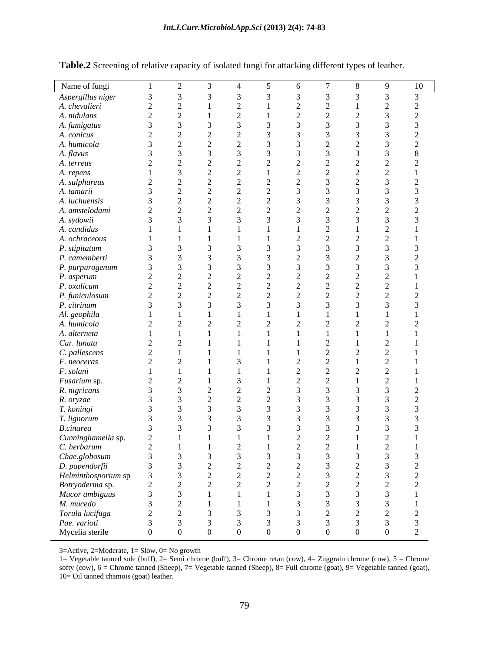| Name of fungi                                          |           | 2         | $\overline{3}$ | $\overline{4}$ | $\sqrt{5}$ | 6             | $\overline{7}$ | 8              | - 9           | 10            |
|--------------------------------------------------------|-----------|-----------|----------------|----------------|------------|---------------|----------------|----------------|---------------|---------------|
| Aspergillus niger                                      |           |           |                | $\mathcal{R}$  |            | $\mathcal{R}$ |                | $\mathcal{R}$  | $\mathcal{R}$ | $\mathcal{R}$ |
| A. chevalieri                                          |           |           |                |                |            |               |                |                |               |               |
| A. nidulans                                            |           |           |                |                |            | $\bigcap$     |                |                |               |               |
| A. fumigatus                                           |           |           |                |                |            |               |                |                |               |               |
| A. conicus                                             |           |           |                |                |            |               |                |                |               |               |
| A. humicola                                            |           |           |                |                |            |               |                |                |               |               |
| A. flavus                                              |           |           |                |                |            |               |                |                |               |               |
| A. terreus                                             | $\gamma$  | $\bigcap$ |                |                |            |               |                |                |               |               |
| A. repens                                              |           |           |                |                |            |               |                |                |               |               |
| A. sulphureus                                          | $\bigcap$ |           |                |                |            |               |                |                |               |               |
| A. tamarii                                             |           |           |                |                |            |               |                |                |               |               |
| A. luchuensis                                          |           |           |                |                |            |               |                |                |               |               |
| A. amstelodami                                         | $\bigcap$ |           |                |                |            |               |                |                |               |               |
| A. sydowii                                             |           |           |                |                |            |               |                |                |               |               |
| A. candidus                                            |           |           |                |                |            |               |                |                |               |               |
| A. ochraceous                                          |           |           |                |                |            |               |                |                |               |               |
|                                                        |           |           |                |                |            |               |                |                |               |               |
| P. stipitatum                                          |           |           |                |                |            | $\bigcap$     |                |                |               |               |
| P. camemberti                                          |           |           |                |                |            |               |                |                |               |               |
| P. purpurogenum                                        |           | $\bigcap$ |                |                |            |               |                |                |               |               |
| <i>P. asperum</i><br><i>P. oxalicum</i>                |           |           |                |                |            |               |                |                |               |               |
|                                                        |           |           |                |                |            |               |                |                |               |               |
| P. funiculosum                                         |           |           |                |                |            |               |                |                |               |               |
| P. citrinum                                            |           |           |                |                |            |               |                |                |               |               |
| Al. geophila<br>A. humicola                            |           |           |                |                |            |               |                |                |               |               |
|                                                        |           |           |                |                |            |               |                |                |               |               |
| A. alterneta                                           |           |           |                |                |            |               |                |                |               |               |
| Cur. lunata                                            |           |           |                |                |            |               |                |                |               |               |
| C. pallescens                                          |           |           |                |                |            |               |                |                |               |               |
| F. neoceras                                            |           |           |                |                |            |               |                |                |               |               |
| F. solani                                              |           |           |                |                |            | $\sim$        |                |                |               |               |
| Fusarium sp.                                           | $\bigcap$ |           |                |                |            |               |                |                |               |               |
| R. nigricans                                           |           |           |                |                |            |               |                |                |               |               |
| R. oryzae                                              |           |           |                |                |            |               |                |                |               |               |
| T. koningi                                             |           |           |                |                |            |               |                |                |               |               |
| T. lignorum                                            |           |           |                |                |            |               |                |                |               |               |
| <b>B.cinarea</b>                                       |           |           |                |                |            |               |                |                |               |               |
| Cunninghamella sp.                                     |           |           |                |                |            |               |                |                |               |               |
| C. herbarum                                            |           |           |                |                |            |               | $\sim$         |                | $\sim$        |               |
|                                                        |           |           |                |                |            |               |                |                |               |               |
| Chae.globosum<br>D. papendorfii<br>Helminthosporium sp |           |           |                |                |            |               |                |                |               |               |
|                                                        |           |           |                | $\bigcap$      |            |               |                |                |               |               |
|                                                        |           | $\gamma$  | $\Omega$       | $\gamma$       |            | $\bigcap$     |                |                |               |               |
| Botryoderma sp.<br>Mucor ambiguus                      |           |           |                |                |            |               |                |                |               |               |
|                                                        |           |           |                |                |            |               |                |                |               |               |
| M. mucedo                                              |           | $\bigcap$ |                |                |            |               |                |                |               |               |
| Torula lucifuga                                        |           | $\bigcap$ |                |                |            |               |                |                |               |               |
| Pae. varioti                                           |           |           |                |                |            |               |                |                |               |               |
| Mycelia sterile                                        | $\Omega$  | $\Omega$  |                | $\Omega$       |            | $\Omega$      | $\Omega$       | $\overline{0}$ | $\Omega$      | 2             |

**Table.2** Screening of relative capacity of isolated fungi for attacking different types of leather.

3=Active, 2=Moderate, 1= Slow, 0= No growth

1= Vegetable tanned sole (buff), 2= Semi chrome (buff), 3= Chrome retan (cow), 4= Zuggrain chrome (cow), 5 = Chrome softy (cow), 6 = Chrome tanned (Sheep), 7= Vegetable tanned (Sheep), 8= Full chrome (goat), 9= Vegetable tanned (goat), 10= Oil tanned chamois (goat) leather.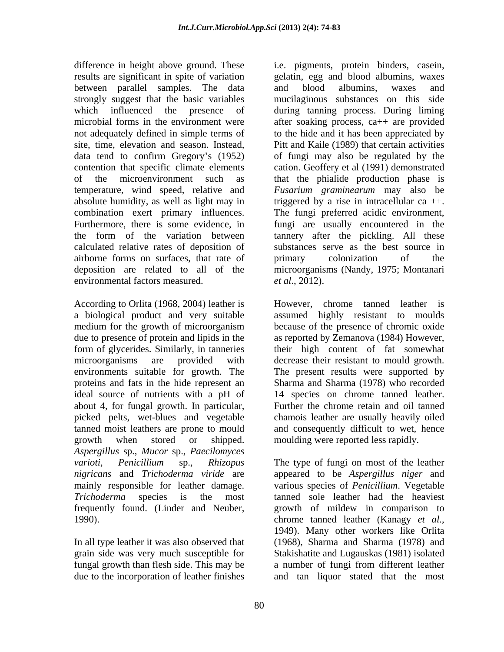between parallel samples. The data combination exert primary influences. calculated relative rates of deposition of airborne forms on surfaces, that rate of environmental factors measured. *et al.*, 2012).

a biological product and very suitable about 4, for fungal growth. In particular, growth when stored or shipped. moulding were reported less rapidly. *Aspergillus* sp., *Mucor* sp., *Paecilomyces* 1990). chrome tanned leather (Kanagy *et al.*,

In all type leather it was also observed that

difference in height above ground. These i.e. pigments, protein binders, casein, results are significant in spite of variation gelatin, egg and blood albumins, waxes strongly suggest that the basic variables mucilaginous substances on this side which influenced the presence of during tanning process. During liming microbial forms in the environment were after soaking process, ca++ are provided not adequately defined in simple terms of to the hide and it has been appreciated by site, time, elevation and season. Instead, Pitt and Kaile (1989) that certain activities data tend to confirm Gregory's (1952) of fungi may also be regulated by the contention that specific climate elements cation. Geoffery et al (1991) demonstrated of the microenvironment such as that the phialide production phase is temperature, wind speed, relative and *Fusarium graminearum* may also be absolute humidity, as well as light may in triggered by a rise in intracellular ca  $++$ . Furthermore, there is some evidence, in fungi are usually encountered in the the form of the variation between tannery after the pickling. All these deposition are related to all of the microorganisms (Nandy, 1975; Montanari and blood albumins, waxes and The fungi preferred acidic environment, substances serve as the best source in primary colonization of the *et al*., 2012).

According to Orlita (1968, 2004) leather is However, chrome tanned leather is medium for the growth of microorganism because of the presence of chromic oxide due to presence of protein and lipids in the as reported by Zemanova (1984) However, form of glycerides. Similarly, in tanneries their high content of fat somewhat microorganisms are provided with decrease their resistant to mould growth. environments suitable for growth. The The present results were supported by proteins and fats in the hide represent an Sharma and Sharma (1978) who recorded ideal source of nutrients with a pH of 14 species on chrome tanned leather. picked pelts, wet-blues and vegetable chamois leather are usually heavily oiled tanned moist leathers are prone to mould and consequently difficult to wet, hence assumed highly resistant to moulds Further the chrome retain and oil tanned

*varioti, Penicillium* sp.*, Rhizopus* The type of fungi on most of the leather *nigricans* and *Trichoderma viride* are appeared to be *Aspergillus niger* and mainly responsible for leather damage. various species of *Penicillium*. Vegetable *Trichoderma* species is the most tanned sole leather had the heaviest frequently found. (Linder and Neuber, growth of mildew in comparison to grain side was very much susceptible for Stakishatite and Lugauskas (1981) isolated fungal growth than flesh side. This may be a number of fungi from different leather due to the incorporation of leather finishes and tan liquor stated that the mostchrome tanned leather (Kanagy *et al*., 1949). Many other workers like Orlita (1968), Sharma and Sharma (1978) and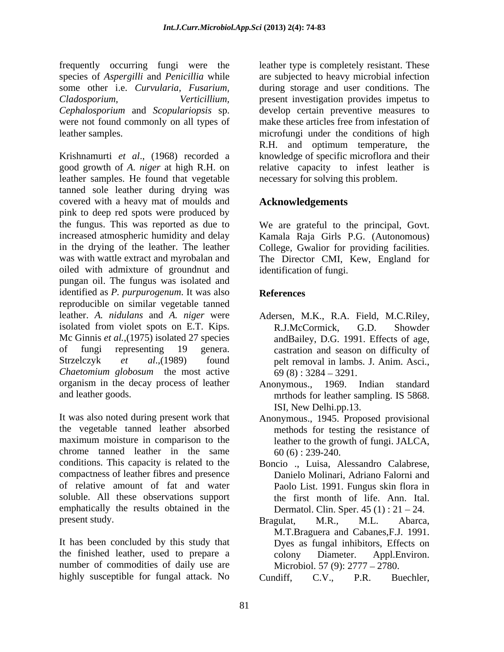frequently occurring fungi were the species of *Aspergilli* and *Penicillia* while are subjected to heavy microbial infection some other i.e. *Curvularia, Fusarium,* during storage and user conditions. The *Cladosporium, Verticillium,* present investigation provides impetus to *Cephalosporium* and *Scopulariopsis* sp. were not found commonly on all types of

Krishnamurti *et al*., (1968) recorded a knowledge of specific microflora and their good growth of *A. niger* at high R.H. on relative capacity to infest leather is leather samples. He found that vegetable tanned sole leather during drying was covered with a heavy mat of moulds and **Acknowledgements** pink to deep red spots were produced by the fungus. This was reported as due to We are grateful to the principal, Govt. increased atmospheric humidity and delay Kamala Raja Girls P.G. (Autonomous) in the drying of the leather. The leather College, Gwalior for providing facilities. was with wattle extract and myrobalan and The Director CMI, Kew, England for oiled with admixture of groundnut and pungan oil. The fungus was isolated and identified as *P. purpurogenum*. It was also reproducible on similar vegetable tanned leather. *A. nidulans* and *A. niger* were Adersen, M.K., R.A. Field, M.C.Riley, isolated from violet spots on E.T. Kips. R.J.McCormick. G.D. Showder Mc Ginnis *et al.*,(1975) isolated 27 species of fungi representing 19 genera. castration and season on difficulty of Strzelczyk *et al*.,(1989) found pelt removal in lambs. J. Anim. Asci., *Chaetomium globosum* the most active organism in the decay process of leather Anonymous., 1969. Indian standard and leather goods. The methods for leather sampling. IS 5868.

It was also noted during present work that Anonymous., 1945. Proposed provisional the vegetable tanned leather absorbed maximum moisture in comparison to the leather to the growth of fungi. JALCA, chrome tanned leather in the same conditions. This capacity is related to the Boncio ., Luisa, Alessandro Calabrese, compactness of leather fibres and presence Danielo Molinari, Adriano Falorni and of relative amount of fat and water Paolo List. 1991. Fungus skin flora in soluble. All these observations support the first month of life. Ann. Ital. emphatically the results obtained in the

It has been concluded by this study that Dyes as fungal inhibitors, Effects on the finished leather, used to prepare a number of commodities of daily use are highly susceptible for fungal attack. No Cundiff, C.V., P.R. Buechler,

leather samples. microfungi under the conditions of high leather type is completely resistant. These develop certain preventive measures to make these articles free from infestation of R.H. and optimum temperature, the necessary for solving this problem.

### **Acknowledgements**

identification of fungi.

### **References**

- R.J.McCormick, G.D. Showder andBailey, D.G. 1991. Effects of age,  $69(8): 3284 - 3291.$
- Anonymous., 1969. Indian standard mrthods for leather sampling. IS 5868. ISI, New Delhi.pp.13.
- methods for testing the resistance of 60 (6) : 239-240.
- Dermatol. Clin. Sper.  $45(1)$ :  $21-24$ .
- present study. Bragulat, M.R., M.L. Abarca, Bragulat, M.R., M.L. Abarca, M.T.Braguera and Cabanes,F.J. 1991. colony Diameter. Appl.Environ. Microbiol. 57 (9): 2777 – 2780.

Cundiff, C.V., P.R. Buechler,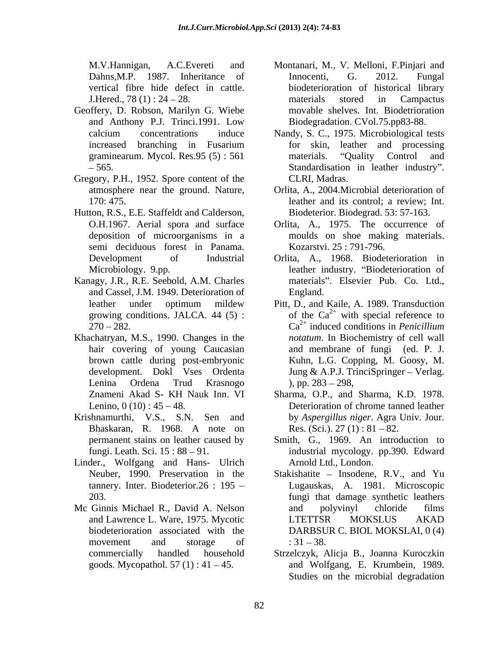- Geoffery, D. Robson, Marilyn G. Wiebe and Anthony P.J. Trinci.1991. Low
- Gregory, P.H., 1952. Spore content of the
- Hutton, R.S., E.E. Staffeldt and Calderson, semi deciduous forest in Panama.
- Kanagy, J.R., R.E. Seebold, A.M. Charles and Cassel, J.M. 1949. Deterioration of
- Khachatryan, M.S., 1990. Changes in the brown cattle during post-embryonic
- 
- Linder., Wolfgang and Hans- Ulrich
- Mc Ginnis Michael R., David A. Nelson and polyvinyl chloride films
- M.V.Hannigan, A.C.Evereti and Montanari, M., V. Melloni, F.Pinjari and Innocenti, G. 2012. Fungal Dahns, M.P. 1987. Inheritance of Innocenti, G. 2012. Fungal vertical fibre hide defect in cattle. biodeterioration of historical library J.Hered., 78 (1): 24 – 28. The materials stored in Campactus materials stored in Campactus movable shelves. Int. Biodetrioration Biodegradation. CVol.75.pp83-88.
- calcium concentrations induce Nandy, S. C., 1975. Microbiological tests increased branching in Fusarium graminearum. Mycol. Res.95 (5): 561 materials. "Quality Control and 565. Standardisation in leather industry . for skin, leather and processing materials. "Quality Control and CLRI, Madras.
- atmosphere near the ground. Nature, Orlita, A., 2004.Microbial deterioration of 170: 475. leather and its control; a review; Int. Biodeterior. Biodegrad. 53: 57-163.
- O.H.1967. Aerial spora and surface Orlita, A., 1975. The occurrence of deposition of microorganisms in a moulds on shoe making materials. Kozarstvi. 25 : 791-796.
- Development of Industrial Orlita, A., 1968. Biodeterioration in Microbiology. 9.pp. The extended are leather industry. "Biodeterioration of materials". Elsevier Pub. Co. Ltd., England.
- leather under optimum mildew Pitt, D., and Kaile, A. 1989. Transduction growing conditions. JALCA. 44 (5): of the  $Ca^{2+}$  with special reference to  $270 - 282$ . Ca<sup>2+</sup> induced conditions in *Penicillium* hair covering of young Caucasian and membrane of fungi (ed. P. J. development. Dokl Vses Ordenta Jung & A.P.J. TrinciSpringer – Verlag. Lenina Ordena Trud Krasnogo *notatum*. In Biochemistry of cell wall Kuhn, L.G. Copping, M. Goosy, M. ), pp.  $283 - 298$ ,
- Znameni Akad S- KH Nauk Inn. VI Sharma, O.P., and Sharma, K.D. 1978. Lenino,  $0(10): 45-48$ . Deterioration of chrome tanned leather Krishnamurthi, V.S., S.N. Sen and by *Aspergillus niger*. Agra Univ. Jour. Bhaskaran, R. 1968. A note on Res. (Sci.). 27 (1) : 81 – 82. Res. (Sci.).  $27(1): 81-82$ .
	- permanent stains on leather caused by Smith, G., 1969. An introduction to fungi. Leath. Sci. 15:88 – 91. The industrial mycology. pp.390. Edward Arnold Ltd., London.
	- Neuber, 1990. Preservation in the Stakishatite Insodene, R.V., and Yu tannery. Inter. Biodeterior.26 : 195 Lugauskas, A. 1981. Microscopic 203. fungi that damage synthetic leathers and Lawrence L. Ware, 1975. Mycotic biodeterioration associated with the DARBSUR C. BIOL MOKSLAI, 0 (4) movement and storage of  $:31-38$ . and polyvinyl chloride films LTETTSR MOKSLUS AKAD  $: 31 - 38.$
	- commercially handled household Strzelczyk, Alicja B., Joanna Kuroczkin goods. Mycopathol. 57 (1) : 41 45. and Wolfgang, E. Krumbein, 1989. Studies on the microbial degradation